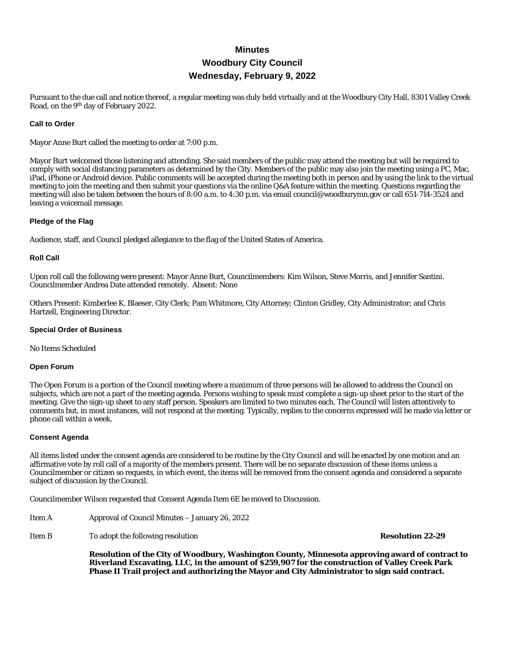# **Minutes Woodbury City Council Wednesday, February 9, 2022**

Pursuant to the due call and notice thereof, a regular meeting was duly held virtually and at the Woodbury City Hall, 8301 Valley Creek Road, on the 9th day of February 2022.

# **Call to Order**

Mayor Anne Burt called the meeting to order at 7:00 p.m.

Mayor Burt welcomed those listening and attending. She said members of the public may attend the meeting but will be required to comply with social distancing parameters as determined by the City. Members of the public may also join the meeting using a PC, Mac, iPad, iPhone or Android device. Public comments will be accepted during the meeting both in person and by using the link to the virtual meeting to join the meeting and then submit your questions via the online Q&A feature within the meeting. Questions regarding the meeting will also be taken between the hours of 8:00 a.m. to 4:30 p.m. via email council@woodburymn.gov or call 651-714-3524 and leaving a voicemail message.

### **Pledge of the Flag**

Audience, staff, and Council pledged allegiance to the flag of the United States of America.

### **Roll Call**

Upon roll call the following were present: Mayor Anne Burt, Councilmembers: Kim Wilson, Steve Morris, and Jennifer Santini. Councilmember Andrea Date attended remotely. Absent: None

Others Present: Kimberlee K. Blaeser, City Clerk; Pam Whitmore, City Attorney; Clinton Gridley, City Administrator; and Chris Hartzell, Engineering Director.

#### **Special Order of Business**

No Items Scheduled

#### **Open Forum**

The Open Forum is a portion of the Council meeting where a maximum of three persons will be allowed to address the Council on subjects, which are not a part of the meeting agenda. Persons wishing to speak must complete a sign-up sheet prior to the start of the meeting. Give the sign-up sheet to any staff person. Speakers are limited to two minutes each. The Council will listen attentively to comments but, in most instances, will not respond at the meeting. Typically, replies to the concerns expressed will be made via letter or phone call within a week.

#### **Consent Agenda**

All items listed under the consent agenda are considered to be routine by the City Council and will be enacted by one motion and an affirmative vote by roll call of a majority of the members present. There will be no separate discussion of these items unless a Councilmember or citizen so requests, in which event, the items will be removed from the consent agenda and considered a separate subject of discussion by the Council.

Councilmember Wilson requested that Consent Agenda Item 6E be moved to Discussion.

| Item A | Approval of Council Minutes - January 26, 2022 |
|--------|------------------------------------------------|
|        |                                                |

Item B To adopt the following resolution **Resolution 22-29**

**Resolution of the City of Woodbury, Washington County, Minnesota approving award of contract to Riverland Excavating, LLC, in the amount of \$259,907 for the construction of Valley Creek Park Phase II Trail project and authorizing the Mayor and City Administrator to sign said contract.**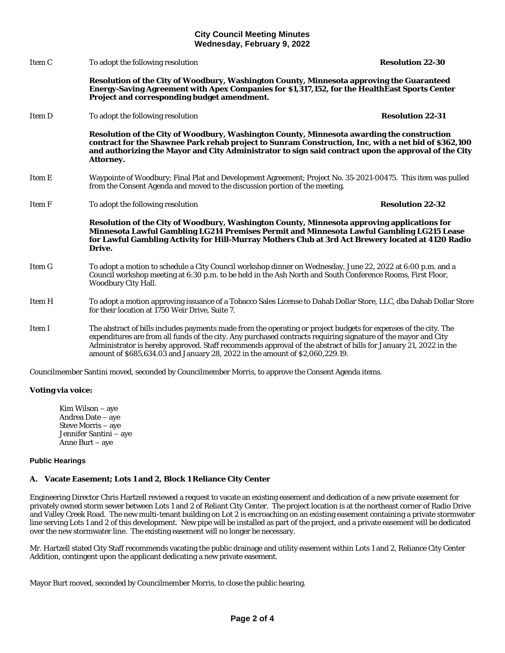# **City Council Meeting Minutes Wednesday, February 9, 2022**

Item C To adopt the following resolution **Resolution 22-30 Resolution of the City of Woodbury, Washington County, Minnesota approving the Guaranteed Energy-Saving Agreement with Apex Companies for \$1,317,152, for the HealthEast Sports Center Project and corresponding budget amendment.** Item D To adopt the following resolution **Resolution 22-31 Resolution of the City of Woodbury, Washington County, Minnesota awarding the construction contract for the Shawnee Park rehab project to Sunram Construction, Inc, with a net bid of \$362,100 and authorizing the Mayor and City Administrator to sign said contract upon the approval of the City Attorney.** Item E Waypointe of Woodbury; Final Plat and Development Agreement; Project No. 35-2021-00475. This item was pulled from the Consent Agenda and moved to the discussion portion of the meeting. Item F To adopt the following resolution **Resolution 22-32 Resolution of the City of Woodbury, Washington County, Minnesota approving applications for Minnesota Lawful Gambling LG214 Premises Permit and Minnesota Lawful Gambling LG215 Lease for Lawful Gambling Activity for Hill-Murray Mothers Club at 3rd Act Brewery located at 4120 Radio Drive.** Item G To adopt a motion to schedule a City Council workshop dinner on Wednesday, June 22, 2022 at 6:00 p.m. and a Council workshop meeting at 6:30 p.m. to be held in the Ash North and South Conference Rooms, First Floor, Woodbury City Hall. Item H To adopt a motion approving issuance of a Tobacco Sales License to Dahab Dollar Store, LLC, dba Dahab Dollar Store for their location at 1750 Weir Drive, Suite 7. Item I The abstract of bills includes payments made from the operating or project budgets for expenses of the city. The expenditures are from all funds of the city. Any purchased contracts requiring signature of the mayor and City Administrator is hereby approved. Staff recommends approval of the abstract of bills for January 21, 2022 in the amount of \$685,634.03 and January 28, 2022 in the amount of \$2,060,229.19.

Councilmember Santini moved, seconded by Councilmember Morris, to approve the Consent Agenda items.

# **Voting via voice:**

Kim Wilson – aye Andrea Date – aye Steve Morris – aye Jennifer Santini – aye Anne Burt – aye

# **Public Hearings**

# **A. Vacate Easement; Lots 1 and 2, Block 1 Reliance City Center**

Engineering Director Chris Hartzell reviewed a request to vacate an existing easement and dedication of a new private easement for privately owned storm sewer between Lots 1 and 2 of Reliant City Center. The project location is at the northeast corner of Radio Drive and Valley Creek Road. The new multi-tenant building on Lot 2 is encroaching on an existing easement containing a private stormwater line serving Lots 1 and 2 of this development. New pipe will be installed as part of the project, and a private easement will be dedicated over the new stormwater line. The existing easement will no longer be necessary.

Mr. Hartzell stated City Staff recommends vacating the public drainage and utility easement within Lots 1 and 2, Reliance City Center Addition, contingent upon the applicant dedicating a new private easement.

Mayor Burt moved, seconded by Councilmember Morris, to close the public hearing.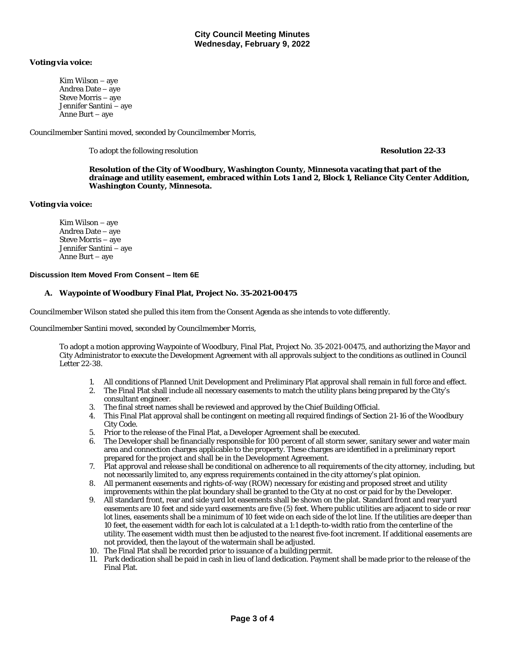# **Voting via voice:**

Kim Wilson – aye Andrea Date – aye Steve Morris – aye Jennifer Santini – aye Anne Burt – aye

Councilmember Santini moved, seconded by Councilmember Morris,

To adopt the following resolution **Resolution 22-33**

**Resolution of the City of Woodbury, Washington County, Minnesota vacating that part of the drainage and utility easement, embraced within Lots 1 and 2, Block 1, Reliance City Center Addition, Washington County, Minnesota.**

# **Voting via voice:**

Kim Wilson – aye Andrea Date – aye Steve Morris – aye Jennifer Santini – aye Anne Burt – aye

# **Discussion Item Moved From Consent – Item 6E**

# **A. Waypointe of Woodbury Final Plat, Project No. 35-2021-00475**

Councilmember Wilson stated she pulled this item from the Consent Agenda as she intends to vote differently.

Councilmember Santini moved, seconded by Councilmember Morris,

To adopt a motion approving Waypointe of Woodbury, Final Plat, Project No. 35-2021-00475, and authorizing the Mayor and City Administrator to execute the Development Agreement with all approvals subject to the conditions as outlined in Council Letter 22-38.

- 1. All conditions of Planned Unit Development and Preliminary Plat approval shall remain in full force and effect.
- 2. The Final Plat shall include all necessary easements to match the utility plans being prepared by the City's consultant engineer.
- 3. The final street names shall be reviewed and approved by the Chief Building Official.
- 4. This Final Plat approval shall be contingent on meeting all required findings of Section 21-16 of the Woodbury City Code.
- 5. Prior to the release of the Final Plat, a Developer Agreement shall be executed.
- 6. The Developer shall be financially responsible for 100 percent of all storm sewer, sanitary sewer and water main area and connection charges applicable to the property. These charges are identified in a preliminary report prepared for the project and shall be in the Development Agreement.
- 7. Plat approval and release shall be conditional on adherence to all requirements of the city attorney, including, but not necessarily limited to, any express requirements contained in the city attorney's plat opinion.
- 8. All permanent easements and rights-of-way (ROW) necessary for existing and proposed street and utility improvements within the plat boundary shall be granted to the City at no cost or paid for by the Developer.
- 9. All standard front, rear and side yard lot easements shall be shown on the plat. Standard front and rear yard easements are 10 feet and side yard easements are five (5) feet. Where public utilities are adjacent to side or rear lot lines, easements shall be a minimum of 10 feet wide on each side of the lot line. If the utilities are deeper than 10 feet, the easement width for each lot is calculated at a 1:1 depth-to-width ratio from the centerline of the utility. The easement width must then be adjusted to the nearest five-foot increment. If additional easements are not provided, then the layout of the watermain shall be adjusted.
- 10. The Final Plat shall be recorded prior to issuance of a building permit.
- 11. Park dedication shall be paid in cash in lieu of land dedication. Payment shall be made prior to the release of the Final Plat.